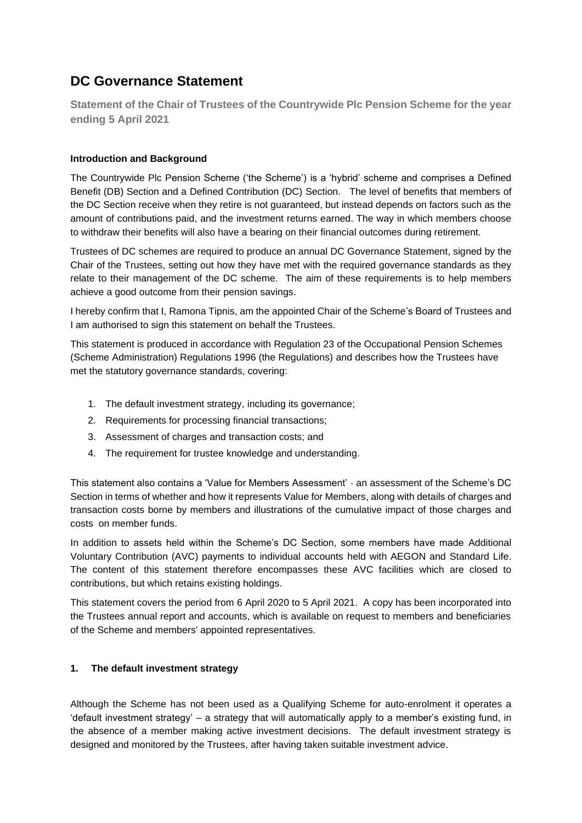# **DC Governance Statement**

**Statement of the Chair of Trustees of the Countrywide Plc Pension Scheme for the year ending 5 April 2021**

# **Introduction and Background**

The Countrywide Plc Pension Scheme ('the Scheme') is a 'hybrid' scheme and comprises a Defined Benefit (DB) Section and a Defined Contribution (DC) Section. The level of benefits that members of the DC Section receive when they retire is not guaranteed, but instead depends on factors such as the amount of contributions paid, and the investment returns earned. The way in which members choose to withdraw their benefits will also have a bearing on their financial outcomes during retirement.

Trustees of DC schemes are required to produce an annual DC Governance Statement, signed by the Chair of the Trustees, setting out how they have met with the required governance standards as they relate to their management of the DC scheme. The aim of these requirements is to help members achieve a good outcome from their pension savings.

I hereby confirm that I, Ramona Tipnis, am the appointed Chair of the Scheme's Board of Trustees and I am authorised to sign this statement on behalf the Trustees.

This statement is produced in accordance with Regulation 23 of the Occupational Pension Schemes (Scheme Administration) Regulations 1996 (the Regulations) and describes how the Trustees have met the statutory governance standards, covering:

- 1. The default investment strategy, including its governance;
- 2. Requirements for processing financial transactions;
- 3. Assessment of charges and transaction costs; and
- 4. The requirement for trustee knowledge and understanding.

This statement also contains a 'Value for Members Assessment' **-** an assessment of the Scheme's DC Section in terms of whether and how it represents Value for Members, along with details of charges and transaction costs borne by members and illustrations of the cumulative impact of those charges and costs on member funds.

In addition to assets held within the Scheme's DC Section, some members have made Additional Voluntary Contribution (AVC) payments to individual accounts held with AEGON and Standard Life. The content of this statement therefore encompasses these AVC facilities which are closed to contributions, but which retains existing holdings.

This statement covers the period from 6 April 2020 to 5 April 2021. A copy has been incorporated into the Trustees annual report and accounts, which is available on request to members and beneficiaries of the Scheme and members' appointed representatives.

#### **1. The default investment strategy**

Although the Scheme has not been used as a Qualifying Scheme for auto-enrolment it operates a 'default investment strategy' – a strategy that will automatically apply to a member's existing fund, in the absence of a member making active investment decisions. The default investment strategy is designed and monitored by the Trustees, after having taken suitable investment advice.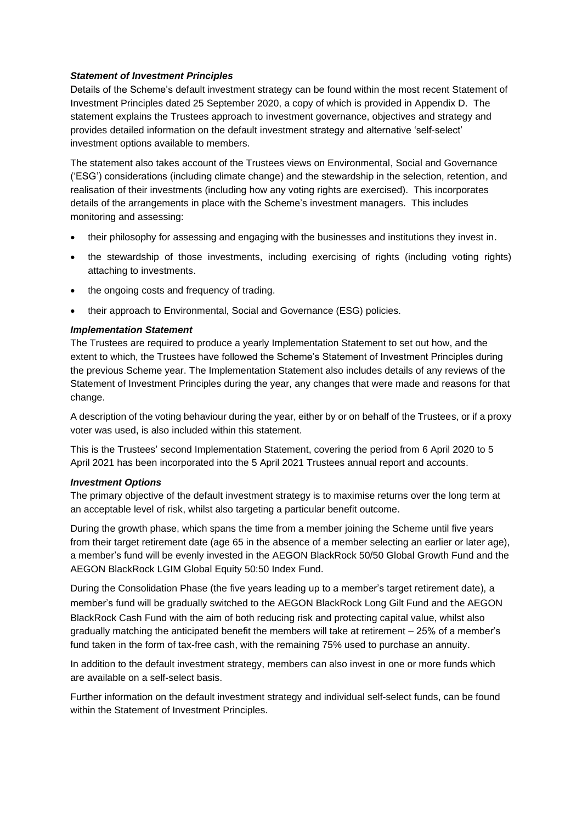## *Statement of Investment Principles*

Details of the Scheme's default investment strategy can be found within the most recent Statement of Investment Principles dated 25 September 2020, a copy of which is provided in Appendix D. The statement explains the Trustees approach to investment governance, objectives and strategy and provides detailed information on the default investment strategy and alternative 'self-select' investment options available to members.

The statement also takes account of the Trustees views on Environmental, Social and Governance ('ESG') considerations (including climate change) and the stewardship in the selection, retention, and realisation of their investments (including how any voting rights are exercised). This incorporates details of the arrangements in place with the Scheme's investment managers. This includes monitoring and assessing:

- their philosophy for assessing and engaging with the businesses and institutions they invest in.
- the stewardship of those investments, including exercising of rights (including voting rights) attaching to investments.
- the ongoing costs and frequency of trading.
- their approach to Environmental, Social and Governance (ESG) policies.

# *Implementation Statement*

The Trustees are required to produce a yearly Implementation Statement to set out how, and the extent to which, the Trustees have followed the Scheme's Statement of Investment Principles during the previous Scheme year. The Implementation Statement also includes details of any reviews of the Statement of Investment Principles during the year, any changes that were made and reasons for that change.

A description of the voting behaviour during the year, either by or on behalf of the Trustees, or if a proxy voter was used, is also included within this statement.

This is the Trustees' second Implementation Statement, covering the period from 6 April 2020 to 5 April 2021 has been incorporated into the 5 April 2021 Trustees annual report and accounts.

#### *Investment Options*

The primary objective of the default investment strategy is to maximise returns over the long term at an acceptable level of risk, whilst also targeting a particular benefit outcome.

During the growth phase, which spans the time from a member joining the Scheme until five years from their target retirement date (age 65 in the absence of a member selecting an earlier or later age), a member's fund will be evenly invested in the AEGON BlackRock 50/50 Global Growth Fund and the AEGON BlackRock LGIM Global Equity 50:50 Index Fund.

During the Consolidation Phase (the five years leading up to a member's target retirement date), a member's fund will be gradually switched to the AEGON BlackRock Long Gilt Fund and the AEGON BlackRock Cash Fund with the aim of both reducing risk and protecting capital value, whilst also gradually matching the anticipated benefit the members will take at retirement – 25% of a member's fund taken in the form of tax-free cash, with the remaining 75% used to purchase an annuity.

In addition to the default investment strategy, members can also invest in one or more funds which are available on a self-select basis.

Further information on the default investment strategy and individual self-select funds, can be found within the Statement of Investment Principles.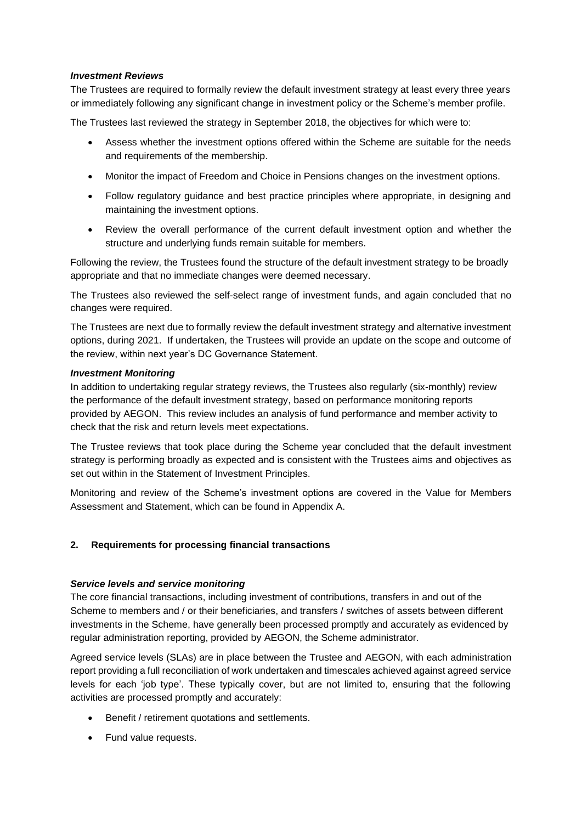#### *Investment Reviews*

The Trustees are required to formally review the default investment strategy at least every three years or immediately following any significant change in investment policy or the Scheme's member profile.

The Trustees last reviewed the strategy in September 2018, the objectives for which were to:

- Assess whether the investment options offered within the Scheme are suitable for the needs and requirements of the membership.
- Monitor the impact of Freedom and Choice in Pensions changes on the investment options.
- Follow regulatory guidance and best practice principles where appropriate, in designing and maintaining the investment options.
- Review the overall performance of the current default investment option and whether the structure and underlying funds remain suitable for members.

Following the review, the Trustees found the structure of the default investment strategy to be broadly appropriate and that no immediate changes were deemed necessary.

The Trustees also reviewed the self-select range of investment funds, and again concluded that no changes were required.

The Trustees are next due to formally review the default investment strategy and alternative investment options, during 2021. If undertaken, the Trustees will provide an update on the scope and outcome of the review, within next year's DC Governance Statement.

#### *Investment Monitoring*

In addition to undertaking regular strategy reviews, the Trustees also regularly (six-monthly) review the performance of the default investment strategy, based on performance monitoring reports provided by AEGON. This review includes an analysis of fund performance and member activity to check that the risk and return levels meet expectations.

The Trustee reviews that took place during the Scheme year concluded that the default investment strategy is performing broadly as expected and is consistent with the Trustees aims and objectives as set out within in the Statement of Investment Principles.

Monitoring and review of the Scheme's investment options are covered in the Value for Members Assessment and Statement, which can be found in Appendix A.

#### **2. Requirements for processing financial transactions**

#### *Service levels and service monitoring*

The core financial transactions, including investment of contributions, transfers in and out of the Scheme to members and / or their beneficiaries, and transfers / switches of assets between different investments in the Scheme, have generally been processed promptly and accurately as evidenced by regular administration reporting, provided by AEGON, the Scheme administrator.

Agreed service levels (SLAs) are in place between the Trustee and AEGON, with each administration report providing a full reconciliation of work undertaken and timescales achieved against agreed service levels for each 'job type'. These typically cover, but are not limited to, ensuring that the following activities are processed promptly and accurately:

- Benefit / retirement quotations and settlements.
- Fund value requests.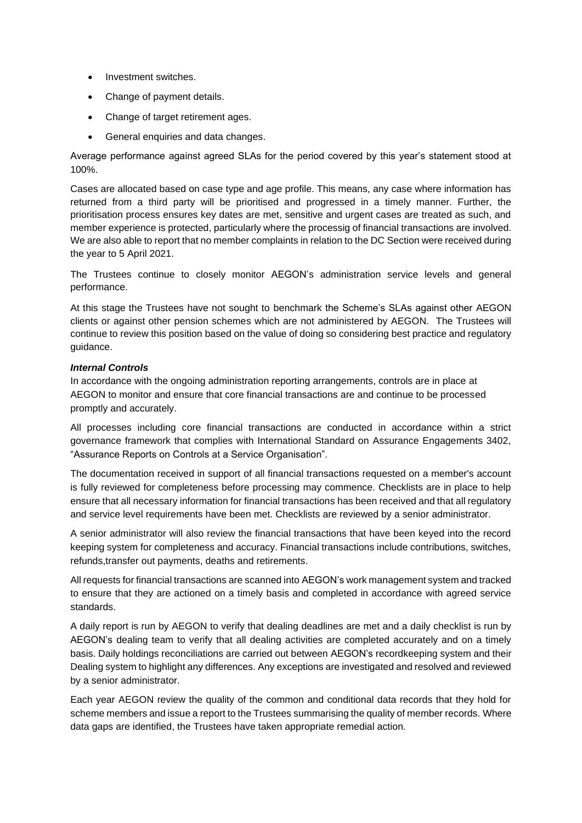- Investment switches.
- Change of payment details.
- Change of target retirement ages.
- General enquiries and data changes.

Average performance against agreed SLAs for the period covered by this year's statement stood at 100%.

Cases are allocated based on case type and age profile. This means, any case where information has returned from a third party will be prioritised and progressed in a timely manner. Further, the prioritisation process ensures key dates are met, sensitive and urgent cases are treated as such, and member experience is protected, particularly where the processig of financial transactions are involved. We are also able to report that no member complaints in relation to the DC Section were received during the year to 5 April 2021.

The Trustees continue to closely monitor AEGON's administration service levels and general performance.

At this stage the Trustees have not sought to benchmark the Scheme's SLAs against other AEGON clients or against other pension schemes which are not administered by AEGON. The Trustees will continue to review this position based on the value of doing so considering best practice and regulatory guidance.

#### *Internal Controls*

In accordance with the ongoing administration reporting arrangements, controls are in place at AEGON to monitor and ensure that core financial transactions are and continue to be processed promptly and accurately.

All processes including core financial transactions are conducted in accordance within a strict governance framework that complies with International Standard on Assurance Engagements 3402, "Assurance Reports on Controls at a Service Organisation".

The documentation received in support of all financial transactions requested on a member's account is fully reviewed for completeness before processing may commence. Checklists are in place to help ensure that all necessary information for financial transactions has been received and that all regulatory and service level requirements have been met. Checklists are reviewed by a senior administrator.

A senior administrator will also review the financial transactions that have been keyed into the record keeping system for completeness and accuracy. Financial transactions include contributions, switches, refunds,transfer out payments, deaths and retirements.

All requests for financial transactions are scanned into AEGON's work management system and tracked to ensure that they are actioned on a timely basis and completed in accordance with agreed service standards.

A daily report is run by AEGON to verify that dealing deadlines are met and a daily checklist is run by AEGON's dealing team to verify that all dealing activities are completed accurately and on a timely basis. Daily holdings reconciliations are carried out between AEGON's recordkeeping system and their Dealing system to highlight any differences. Any exceptions are investigated and resolved and reviewed by a senior administrator.

Each year AEGON review the quality of the common and conditional data records that they hold for scheme members and issue a report to the Trustees summarising the quality of member records. Where data gaps are identified, the Trustees have taken appropriate remedial action.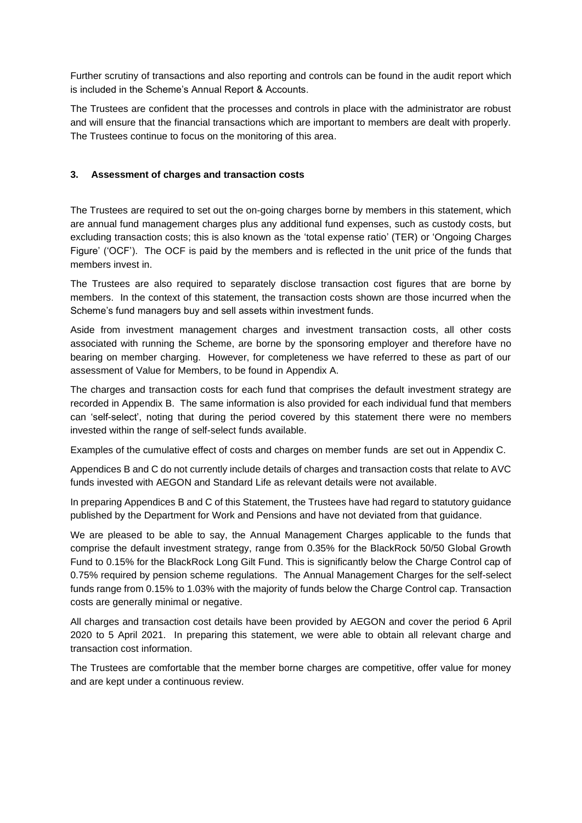Further scrutiny of transactions and also reporting and controls can be found in the audit report which is included in the Scheme's Annual Report & Accounts.

The Trustees are confident that the processes and controls in place with the administrator are robust and will ensure that the financial transactions which are important to members are dealt with properly. The Trustees continue to focus on the monitoring of this area.

## **3. Assessment of charges and transaction costs**

The Trustees are required to set out the on-going charges borne by members in this statement, which are annual fund management charges plus any additional fund expenses, such as custody costs, but excluding transaction costs; this is also known as the 'total expense ratio' (TER) or 'Ongoing Charges Figure' ('OCF'). The OCF is paid by the members and is reflected in the unit price of the funds that members invest in.

The Trustees are also required to separately disclose transaction cost figures that are borne by members. In the context of this statement, the transaction costs shown are those incurred when the Scheme's fund managers buy and sell assets within investment funds.

Aside from investment management charges and investment transaction costs, all other costs associated with running the Scheme, are borne by the sponsoring employer and therefore have no bearing on member charging. However, for completeness we have referred to these as part of our assessment of Value for Members, to be found in Appendix A.

The charges and transaction costs for each fund that comprises the default investment strategy are recorded in Appendix B. The same information is also provided for each individual fund that members can 'self-select', noting that during the period covered by this statement there were no members invested within the range of self-select funds available.

Examples of the cumulative effect of costs and charges on member funds are set out in Appendix C.

Appendices B and C do not currently include details of charges and transaction costs that relate to AVC funds invested with AEGON and Standard Life as relevant details were not available.

In preparing Appendices B and C of this Statement, the Trustees have had regard to statutory guidance published by the Department for Work and Pensions and have not deviated from that guidance.

We are pleased to be able to say, the Annual Management Charges applicable to the funds that comprise the default investment strategy, range from 0.35% for the BlackRock 50/50 Global Growth Fund to 0.15% for the BlackRock Long Gilt Fund. This is significantly below the Charge Control cap of 0.75% required by pension scheme regulations. The Annual Management Charges for the self-select funds range from 0.15% to 1.03% with the majority of funds below the Charge Control cap. Transaction costs are generally minimal or negative.

All charges and transaction cost details have been provided by AEGON and cover the period 6 April 2020 to 5 April 2021. In preparing this statement, we were able to obtain all relevant charge and transaction cost information.

The Trustees are comfortable that the member borne charges are competitive, offer value for money and are kept under a continuous review.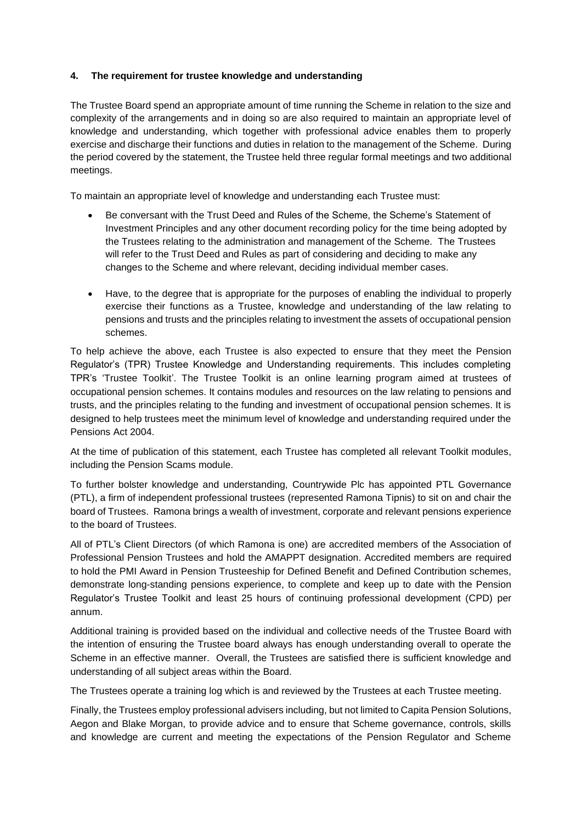## **4. The requirement for trustee knowledge and understanding**

The Trustee Board spend an appropriate amount of time running the Scheme in relation to the size and complexity of the arrangements and in doing so are also required to maintain an appropriate level of knowledge and understanding, which together with professional advice enables them to properly exercise and discharge their functions and duties in relation to the management of the Scheme. During the period covered by the statement, the Trustee held three regular formal meetings and two additional meetings.

To maintain an appropriate level of knowledge and understanding each Trustee must:

- Be conversant with the Trust Deed and Rules of the Scheme, the Scheme's Statement of Investment Principles and any other document recording policy for the time being adopted by the Trustees relating to the administration and management of the Scheme. The Trustees will refer to the Trust Deed and Rules as part of considering and deciding to make any changes to the Scheme and where relevant, deciding individual member cases.
- Have, to the degree that is appropriate for the purposes of enabling the individual to properly exercise their functions as a Trustee, knowledge and understanding of the law relating to pensions and trusts and the principles relating to investment the assets of occupational pension schemes.

To help achieve the above, each Trustee is also expected to ensure that they meet the Pension Regulator's (TPR) Trustee Knowledge and Understanding requirements. This includes completing TPR's 'Trustee Toolkit'. The Trustee Toolkit is an online learning program aimed at trustees of occupational pension schemes. It contains modules and resources on the law relating to pensions and trusts, and the principles relating to the funding and investment of occupational pension schemes. It is designed to help trustees meet the minimum level of knowledge and understanding required under the Pensions Act 2004.

At the time of publication of this statement, each Trustee has completed all relevant Toolkit modules, including the Pension Scams module.

To further bolster knowledge and understanding, Countrywide Plc has appointed PTL Governance (PTL), a firm of independent professional trustees (represented Ramona Tipnis) to sit on and chair the board of Trustees. Ramona brings a wealth of investment, corporate and relevant pensions experience to the board of Trustees.

All of PTL's Client Directors (of which Ramona is one) are accredited members of the Association of Professional Pension Trustees and hold the AMAPPT designation. Accredited members are required to hold the PMI Award in Pension Trusteeship for Defined Benefit and Defined Contribution schemes, demonstrate long-standing pensions experience, to complete and keep up to date with the Pension Regulator's Trustee Toolkit and least 25 hours of continuing professional development (CPD) per annum.

Additional training is provided based on the individual and collective needs of the Trustee Board with the intention of ensuring the Trustee board always has enough understanding overall to operate the Scheme in an effective manner. Overall, the Trustees are satisfied there is sufficient knowledge and understanding of all subject areas within the Board.

The Trustees operate a training log which is and reviewed by the Trustees at each Trustee meeting.

Finally, the Trustees employ professional advisers including, but not limited to Capita Pension Solutions, Aegon and Blake Morgan, to provide advice and to ensure that Scheme governance, controls, skills and knowledge are current and meeting the expectations of the Pension Regulator and Scheme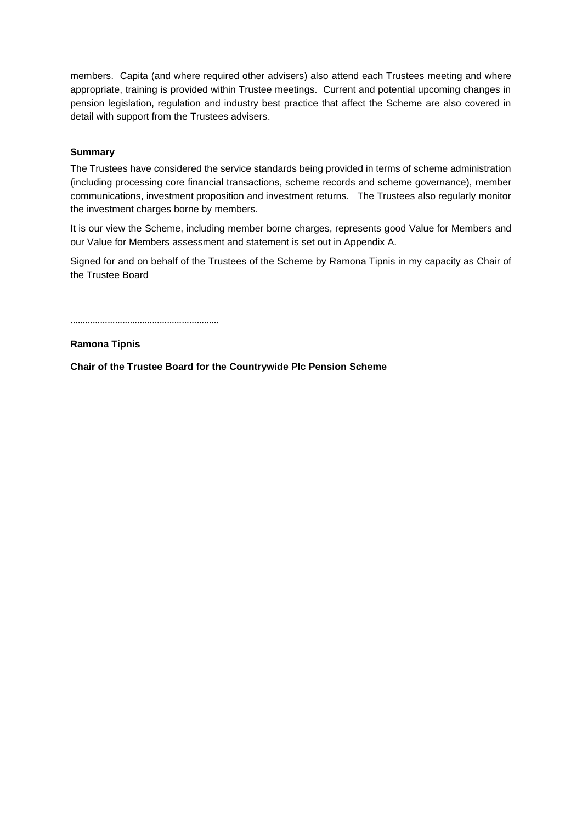members. Capita (and where required other advisers) also attend each Trustees meeting and where appropriate, training is provided within Trustee meetings. Current and potential upcoming changes in pension legislation, regulation and industry best practice that affect the Scheme are also covered in detail with support from the Trustees advisers.

## **Summary**

The Trustees have considered the service standards being provided in terms of scheme administration (including processing core financial transactions, scheme records and scheme governance), member communications, investment proposition and investment returns. The Trustees also regularly monitor the investment charges borne by members.

It is our view the Scheme, including member borne charges, represents good Value for Members and our Value for Members assessment and statement is set out in Appendix A.

Signed for and on behalf of the Trustees of the Scheme by Ramona Tipnis in my capacity as Chair of the Trustee Board

……………………………………………………

**Ramona Tipnis**

**Chair of the Trustee Board for the Countrywide Plc Pension Scheme**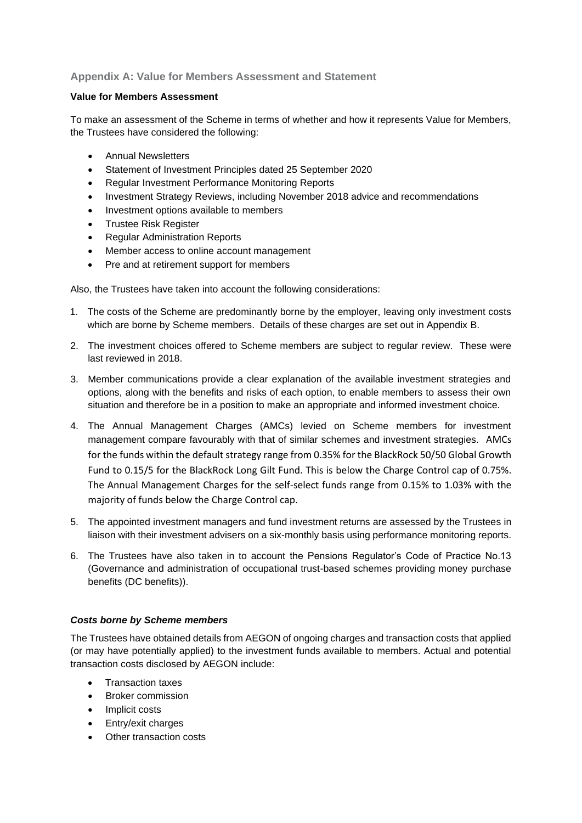# **Appendix A: Value for Members Assessment and Statement**

#### **Value for Members Assessment**

To make an assessment of the Scheme in terms of whether and how it represents Value for Members, the Trustees have considered the following:

- Annual Newsletters
- Statement of Investment Principles dated 25 September 2020
- Regular Investment Performance Monitoring Reports
- Investment Strategy Reviews, including November 2018 advice and recommendations
- Investment options available to members
- Trustee Risk Register
- Regular Administration Reports
- Member access to online account management
- Pre and at retirement support for members

Also, the Trustees have taken into account the following considerations:

- 1. The costs of the Scheme are predominantly borne by the employer, leaving only investment costs which are borne by Scheme members. Details of these charges are set out in Appendix B.
- 2. The investment choices offered to Scheme members are subject to regular review. These were last reviewed in 2018.
- 3. Member communications provide a clear explanation of the available investment strategies and options, along with the benefits and risks of each option, to enable members to assess their own situation and therefore be in a position to make an appropriate and informed investment choice.
- 4. The Annual Management Charges (AMCs) levied on Scheme members for investment management compare favourably with that of similar schemes and investment strategies. AMCs for the funds within the default strategy range from 0.35% for the BlackRock 50/50 Global Growth Fund to 0.15/5 for the BlackRock Long Gilt Fund. This is below the Charge Control cap of 0.75%. The Annual Management Charges for the self-select funds range from 0.15% to 1.03% with the majority of funds below the Charge Control cap.
- 5. The appointed investment managers and fund investment returns are assessed by the Trustees in liaison with their investment advisers on a six-monthly basis using performance monitoring reports.
- 6. The Trustees have also taken in to account the Pensions Regulator's Code of Practice No.13 (Governance and administration of occupational trust-based schemes providing money purchase benefits (DC benefits)).

#### *Costs borne by Scheme members*

The Trustees have obtained details from AEGON of ongoing charges and transaction costs that applied (or may have potentially applied) to the investment funds available to members. Actual and potential transaction costs disclosed by AEGON include:

- Transaction taxes
- Broker commission
- Implicit costs
- Entry/exit charges
- Other transaction costs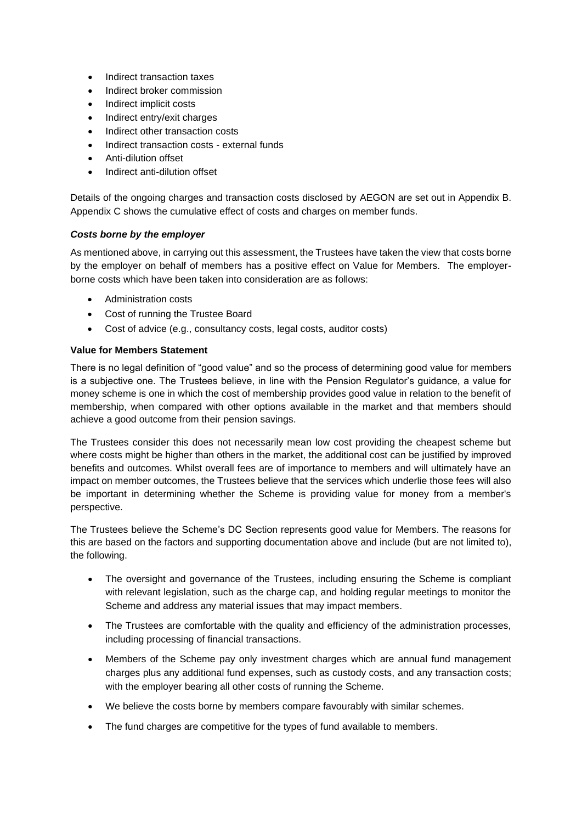- Indirect transaction taxes
- Indirect broker commission
- Indirect implicit costs
- Indirect entry/exit charges
- Indirect other transaction costs
- Indirect transaction costs external funds
- Anti-dilution offset
- Indirect anti-dilution offset

Details of the ongoing charges and transaction costs disclosed by AEGON are set out in Appendix B. Appendix C shows the cumulative effect of costs and charges on member funds.

#### *Costs borne by the employer*

As mentioned above, in carrying out this assessment, the Trustees have taken the view that costs borne by the employer on behalf of members has a positive effect on Value for Members. The employerborne costs which have been taken into consideration are as follows:

- Administration costs
- Cost of running the Trustee Board
- Cost of advice (e.g., consultancy costs, legal costs, auditor costs)

#### **Value for Members Statement**

There is no legal definition of "good value" and so the process of determining good value for members is a subjective one. The Trustees believe, in line with the Pension Regulator's guidance, a value for money scheme is one in which the cost of membership provides good value in relation to the benefit of membership, when compared with other options available in the market and that members should achieve a good outcome from their pension savings.

The Trustees consider this does not necessarily mean low cost providing the cheapest scheme but where costs might be higher than others in the market, the additional cost can be justified by improved benefits and outcomes. Whilst overall fees are of importance to members and will ultimately have an impact on member outcomes, the Trustees believe that the services which underlie those fees will also be important in determining whether the Scheme is providing value for money from a member's perspective.

The Trustees believe the Scheme's DC Section represents good value for Members. The reasons for this are based on the factors and supporting documentation above and include (but are not limited to), the following.

- The oversight and governance of the Trustees, including ensuring the Scheme is compliant with relevant legislation, such as the charge cap, and holding regular meetings to monitor the Scheme and address any material issues that may impact members.
- The Trustees are comfortable with the quality and efficiency of the administration processes, including processing of financial transactions.
- Members of the Scheme pay only investment charges which are annual fund management charges plus any additional fund expenses, such as custody costs, and any transaction costs; with the employer bearing all other costs of running the Scheme.
- We believe the costs borne by members compare favourably with similar schemes.
- The fund charges are competitive for the types of fund available to members.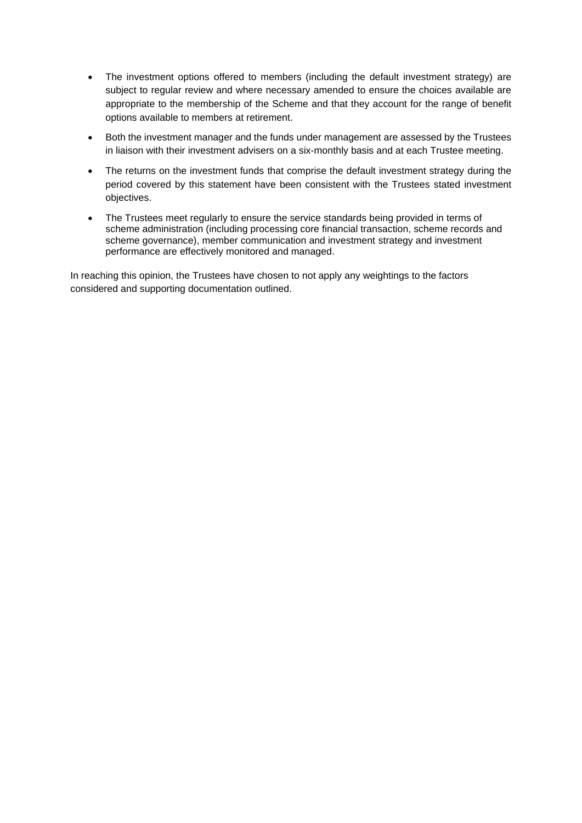- The investment options offered to members (including the default investment strategy) are subject to regular review and where necessary amended to ensure the choices available are appropriate to the membership of the Scheme and that they account for the range of benefit options available to members at retirement.
- Both the investment manager and the funds under management are assessed by the Trustees in liaison with their investment advisers on a six-monthly basis and at each Trustee meeting.
- The returns on the investment funds that comprise the default investment strategy during the period covered by this statement have been consistent with the Trustees stated investment objectives.
- The Trustees meet regularly to ensure the service standards being provided in terms of scheme administration (including processing core financial transaction, scheme records and scheme governance), member communication and investment strategy and investment performance are effectively monitored and managed.

In reaching this opinion, the Trustees have chosen to not apply any weightings to the factors considered and supporting documentation outlined.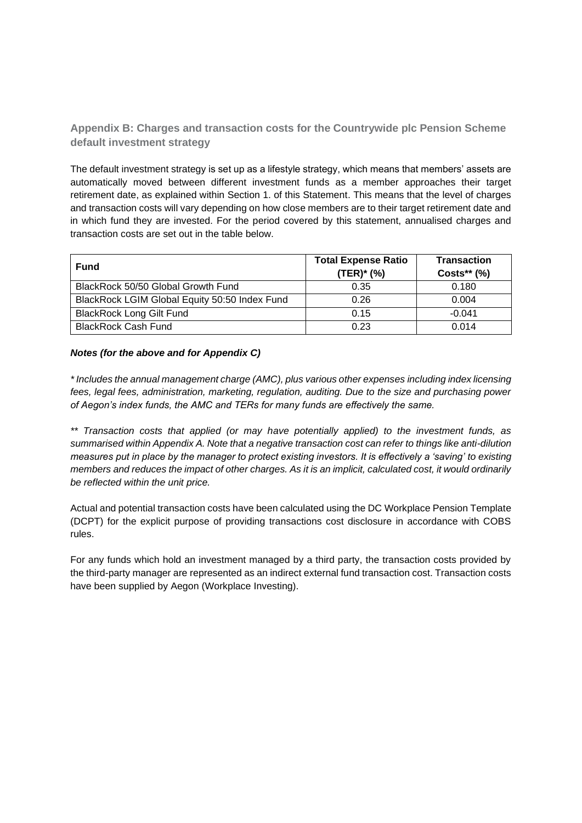**Appendix B: Charges and transaction costs for the Countrywide plc Pension Scheme default investment strategy**

The default investment strategy is set up as a lifestyle strategy, which means that members' assets are automatically moved between different investment funds as a member approaches their target retirement date, as explained within Section 1. of this Statement. This means that the level of charges and transaction costs will vary depending on how close members are to their target retirement date and in which fund they are invested. For the period covered by this statement, annualised charges and transaction costs are set out in the table below.

| <b>Fund</b>                                   | <b>Total Expense Ratio</b><br>(TER)* (%) | <b>Transaction</b><br>$Costs**$ (%) |
|-----------------------------------------------|------------------------------------------|-------------------------------------|
| BlackRock 50/50 Global Growth Fund            | 0.35                                     | 0.180                               |
| BlackRock LGIM Global Equity 50:50 Index Fund | 0.26                                     | 0.004                               |
| <b>BlackRock Long Gilt Fund</b>               | 0.15                                     | $-0.041$                            |
| <b>BlackRock Cash Fund</b>                    | 0.23                                     | 0.014                               |

#### *Notes (for the above and for Appendix C)*

*\* Includes the annual management charge (AMC), plus various other expenses including index licensing fees, legal fees, administration, marketing, regulation, auditing. Due to the size and purchasing power of Aegon's index funds, the AMC and TERs for many funds are effectively the same.*

*\*\* Transaction costs that applied (or may have potentially applied) to the investment funds, as summarised within Appendix A. Note that a negative transaction cost can refer to things like anti-dilution measures put in place by the manager to protect existing investors. It is effectively a 'saving' to existing members and reduces the impact of other charges. As it is an implicit, calculated cost, it would ordinarily be reflected within the unit price.*

Actual and potential transaction costs have been calculated using the DC Workplace Pension Template (DCPT) for the explicit purpose of providing transactions cost disclosure in accordance with COBS rules.

For any funds which hold an investment managed by a third party, the transaction costs provided by the third-party manager are represented as an indirect external fund transaction cost. Transaction costs have been supplied by Aegon (Workplace Investing).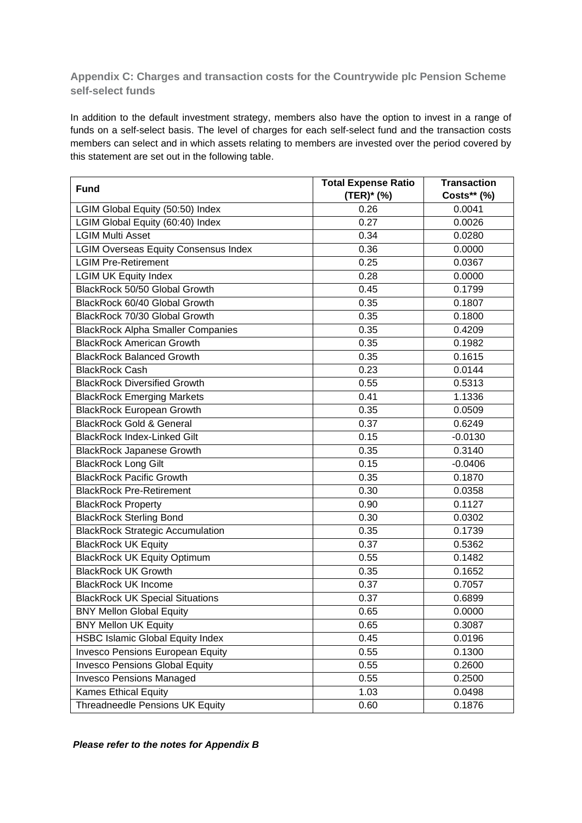**Appendix C: Charges and transaction costs for the Countrywide plc Pension Scheme self-select funds**

In addition to the default investment strategy, members also have the option to invest in a range of funds on a self-select basis. The level of charges for each self-select fund and the transaction costs members can select and in which assets relating to members are invested over the period covered by this statement are set out in the following table.

| <b>Fund</b>                                 | <b>Total Expense Ratio</b> | <b>Transaction</b> |
|---------------------------------------------|----------------------------|--------------------|
|                                             | (TER)* (%)                 | Costs** (%)        |
| LGIM Global Equity (50:50) Index            | 0.26                       | 0.0041             |
| LGIM Global Equity (60:40) Index            | 0.27                       | 0.0026             |
| <b>LGIM Multi Asset</b>                     | 0.34                       | 0.0280             |
| <b>LGIM Overseas Equity Consensus Index</b> | 0.36                       | 0.0000             |
| <b>LGIM Pre-Retirement</b>                  | 0.25                       | 0.0367             |
| <b>LGIM UK Equity Index</b>                 | 0.28                       | 0.0000             |
| BlackRock 50/50 Global Growth               | 0.45                       | 0.1799             |
| BlackRock 60/40 Global Growth               | 0.35                       | 0.1807             |
| BlackRock 70/30 Global Growth               | 0.35                       | 0.1800             |
| <b>BlackRock Alpha Smaller Companies</b>    | 0.35                       | 0.4209             |
| <b>BlackRock American Growth</b>            | 0.35                       | 0.1982             |
| <b>BlackRock Balanced Growth</b>            | 0.35                       | 0.1615             |
| <b>BlackRock Cash</b>                       | 0.23                       | 0.0144             |
| <b>BlackRock Diversified Growth</b>         | 0.55                       | 0.5313             |
| <b>BlackRock Emerging Markets</b>           | 0.41                       | 1.1336             |
| <b>BlackRock European Growth</b>            | 0.35                       | 0.0509             |
| <b>BlackRock Gold &amp; General</b>         | 0.37                       | 0.6249             |
| <b>BlackRock Index-Linked Gilt</b>          | 0.15                       | $-0.0130$          |
| <b>BlackRock Japanese Growth</b>            | 0.35                       | 0.3140             |
| <b>BlackRock Long Gilt</b>                  | 0.15                       | $-0.0406$          |
| <b>BlackRock Pacific Growth</b>             | 0.35                       | 0.1870             |
| <b>BlackRock Pre-Retirement</b>             | 0.30                       | 0.0358             |
| <b>BlackRock Property</b>                   | 0.90                       | 0.1127             |
| <b>BlackRock Sterling Bond</b>              | 0.30                       | 0.0302             |
| <b>BlackRock Strategic Accumulation</b>     | 0.35                       | 0.1739             |
| <b>BlackRock UK Equity</b>                  | 0.37                       | 0.5362             |
| <b>BlackRock UK Equity Optimum</b>          | 0.55                       | 0.1482             |
| <b>BlackRock UK Growth</b>                  | 0.35                       | 0.1652             |
| <b>BlackRock UK Income</b>                  | 0.37                       | 0.7057             |
| <b>BlackRock UK Special Situations</b>      | 0.37                       | 0.6899             |
| <b>BNY Mellon Global Equity</b>             | 0.65                       | 0.0000             |
| <b>BNY Mellon UK Equity</b>                 | 0.65                       | 0.3087             |
| <b>HSBC Islamic Global Equity Index</b>     | 0.45                       | 0.0196             |
| <b>Invesco Pensions European Equity</b>     | 0.55                       | 0.1300             |
| <b>Invesco Pensions Global Equity</b>       | 0.55                       | 0.2600             |
| <b>Invesco Pensions Managed</b>             | 0.55                       | 0.2500             |
| Kames Ethical Equity                        | 1.03                       | 0.0498             |
| <b>Threadneedle Pensions UK Equity</b>      | 0.60                       | 0.1876             |

*Please refer to the notes for Appendix B*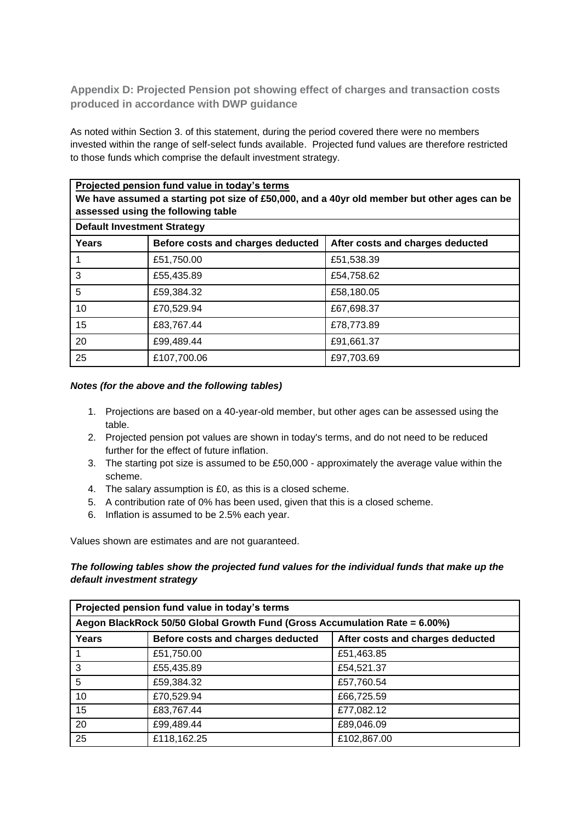**Appendix D: Projected Pension pot showing effect of charges and transaction costs produced in accordance with DWP guidance**

As noted within Section 3. of this statement, during the period covered there were no members invested within the range of self-select funds available. Projected fund values are therefore restricted to those funds which comprise the default investment strategy.

| Projected pension fund value in today's terms<br>We have assumed a starting pot size of £50,000, and a 40yr old member but other ages can be<br>assessed using the following table |                                   |                                  |
|------------------------------------------------------------------------------------------------------------------------------------------------------------------------------------|-----------------------------------|----------------------------------|
| <b>Default Investment Strategy</b>                                                                                                                                                 |                                   |                                  |
| Years                                                                                                                                                                              | Before costs and charges deducted | After costs and charges deducted |
|                                                                                                                                                                                    | £51,750.00                        | £51,538.39                       |
| 3                                                                                                                                                                                  | £55,435.89                        | £54,758.62                       |
| 5                                                                                                                                                                                  | £59,384.32                        | £58,180.05                       |
| 10                                                                                                                                                                                 | £70,529.94                        | £67,698.37                       |
| 15                                                                                                                                                                                 | £83,767.44                        | £78,773.89                       |
| 20                                                                                                                                                                                 | £99,489.44                        | £91,661.37                       |
| 25                                                                                                                                                                                 | £107,700.06                       | £97,703.69                       |

#### *Notes (for the above and the following tables)*

- 1. Projections are based on a 40-year-old member, but other ages can be assessed using the table.
- 2. Projected pension pot values are shown in today's terms, and do not need to be reduced further for the effect of future inflation.
- 3. The starting pot size is assumed to be £50,000 approximately the average value within the scheme.
- 4. The salary assumption is £0, as this is a closed scheme.
- 5. A contribution rate of 0% has been used, given that this is a closed scheme.
- 6. Inflation is assumed to be 2.5% each year.

Values shown are estimates and are not guaranteed.

# *The following tables show the projected fund values for the individual funds that make up the default investment strategy*

| Projected pension fund value in today's terms                              |                                   |                                  |
|----------------------------------------------------------------------------|-----------------------------------|----------------------------------|
| Aegon BlackRock 50/50 Global Growth Fund (Gross Accumulation Rate = 6.00%) |                                   |                                  |
| <b>Years</b>                                                               | Before costs and charges deducted | After costs and charges deducted |
|                                                                            | £51,750.00                        | £51,463.85                       |
| 3                                                                          | £55,435.89                        | £54,521.37                       |
| 5                                                                          | £59,384.32                        | £57,760.54                       |
| 10                                                                         | £70,529.94                        | £66,725.59                       |
| 15                                                                         | £83,767.44                        | £77,082.12                       |
| 20                                                                         | £99,489.44                        | £89,046.09                       |
| 25                                                                         | £118,162.25                       | £102,867.00                      |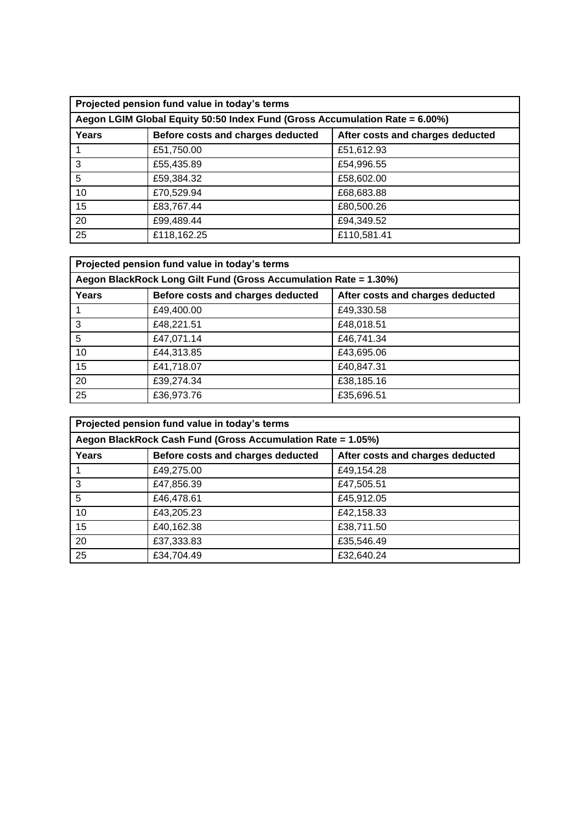| Projected pension fund value in today's terms                               |                                   |                                  |
|-----------------------------------------------------------------------------|-----------------------------------|----------------------------------|
| Aegon LGIM Global Equity 50:50 Index Fund (Gross Accumulation Rate = 6.00%) |                                   |                                  |
| Years                                                                       | Before costs and charges deducted | After costs and charges deducted |
|                                                                             | £51,750.00                        | £51,612.93                       |
| 3                                                                           | £55,435.89                        | £54,996.55                       |
| 5                                                                           | £59,384.32                        | £58,602.00                       |
| 10                                                                          | £70,529.94                        | £68,683.88                       |
| 15                                                                          | £83,767.44                        | £80,500.26                       |
| 20                                                                          | £99,489.44                        | £94,349.52                       |
| 25                                                                          | £118,162.25                       | £110,581.41                      |

| Projected pension fund value in today's terms                    |                                   |                                  |
|------------------------------------------------------------------|-----------------------------------|----------------------------------|
| Aegon BlackRock Long Gilt Fund (Gross Accumulation Rate = 1.30%) |                                   |                                  |
| Years                                                            | Before costs and charges deducted | After costs and charges deducted |
|                                                                  | £49,400.00                        | £49,330.58                       |
| 3                                                                | £48,221.51                        | £48,018.51                       |
| 5                                                                | £47,071.14                        | £46,741.34                       |
| 10                                                               | £44,313.85                        | £43,695.06                       |
| 15                                                               | £41,718.07                        | £40,847.31                       |
| 20                                                               | £39,274.34                        | £38,185.16                       |
| 25                                                               | £36,973.76                        | £35,696.51                       |

| Projected pension fund value in today's terms               |                                   |                                  |
|-------------------------------------------------------------|-----------------------------------|----------------------------------|
| Aegon BlackRock Cash Fund (Gross Accumulation Rate = 1.05%) |                                   |                                  |
| Years                                                       | Before costs and charges deducted | After costs and charges deducted |
|                                                             | £49,275.00                        | £49,154.28                       |
| 3                                                           | £47,856.39                        | £47,505.51                       |
| 5                                                           | £46,478.61                        | £45,912.05                       |
| 10                                                          | £43,205.23                        | £42,158.33                       |
| 15                                                          | £40,162.38                        | £38,711.50                       |
| 20                                                          | £37,333.83                        | £35,546.49                       |
| 25                                                          | £34,704.49                        | £32,640.24                       |